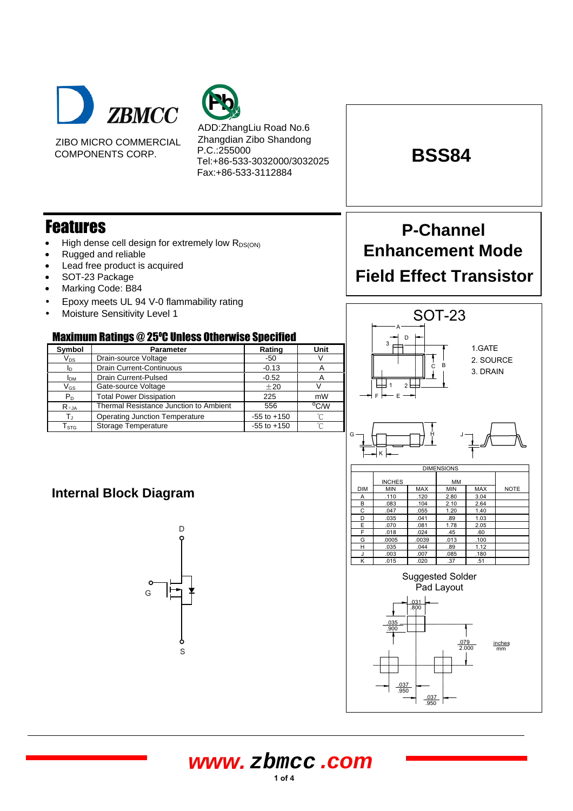

ZIBO MICRO COMMERCIAL COMPONENTS CORP.



ADD:ZhangLiu Road No.6 Zhangdian Zibo Shandong P.C.:255000 Tel:+86-533-3032000/3032025 Fax:+86-533-3112884

# Features

- High dense cell design for extremely low  $R_{DS(ON)}$
- Rugged and reliable
- Lead free product is acquired
- SOT-23 Package
- Marking Code: B84
- Epoxy meets UL 94 V-0 flammability rating
- Moisture Sensitivity Level 1

## **Maximum Ratings @ 25°C Unless Otherwise Specified**

| Symbol                     | <b>Parameter</b>                       | Rating          | Unit |  |
|----------------------------|----------------------------------------|-----------------|------|--|
| $\mathsf{V}_{\mathsf{DS}}$ | Drain-source Voltage                   | -50             |      |  |
| ID                         | <b>Drain Current-Continuous</b>        | $-0.13$         | A    |  |
| <b>I</b> <sub>DM</sub>     | Drain Current-Pulsed                   | $-0.52$         | А    |  |
| $\mathsf{V}_{\mathsf{GS}}$ | Gate-source Voltage                    | ±20             |      |  |
| $P_{D}$                    | <b>Total Power Dissipation</b>         | 225             | mW   |  |
| $R_{\theta,JA}$            | Thermal Resistance Junction to Ambient | 556             | °C/W |  |
| T.                         | <b>Operating Junction Temperature</b>  | $-55$ to $+150$ | n    |  |
| $\mathsf{T}_{\text{STG}}$  | <b>Storage Temperature</b>             | $-55$ to $+150$ | °∩   |  |

# **P-Channel Enhancement Mode Field Effect Transistor**

**BSS84**

#### SOT-23 Suggested Solder Pad Layout **DIMENSION** INCHES MM<br>MIN MAX MIN DIM MIN MAX MIN MAX NOTE A .110 .120 2.80 3.04 B .083 .104 2.10 2.64 C .047 .055 1.20 1.40 D .035 .041 .89 1.03 E .070 .081 1.78 2.05 F .018 .024 .45 .60 G .0005 .0039 .013 .100 H .035 .044 .89 1.12 180. <mark>.003 .007 .085 ل</mark> K .015 .020 .37 .51 A  $\frac{1}{C}$ D  $F \models \equiv E$ G─┐<del>┟┍┓╾═╤┯</del>┪╫┈┈╜ K  $\overline{2}$ 3 1 1.GATE 2. SOURCE 3. DRAIN



## **Internal Block Diagram**



**www. zbmcc .com**

**1 of <sup>4</sup>**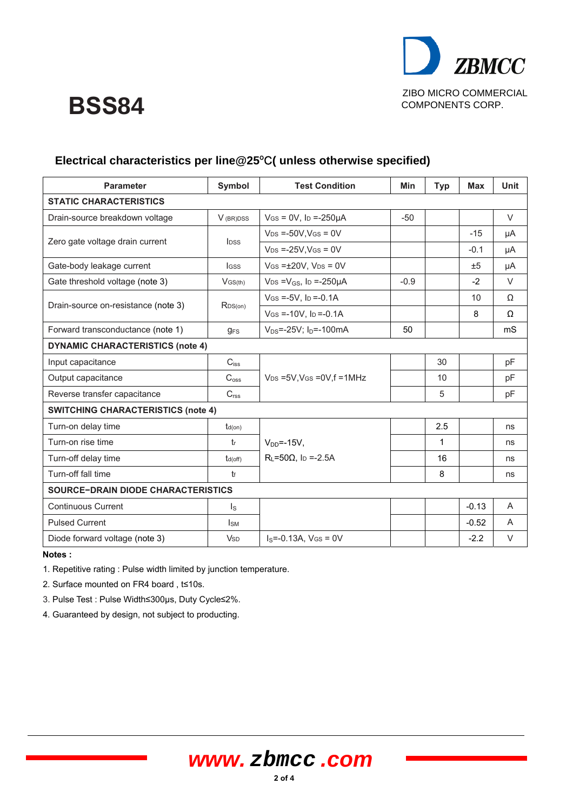

# **BSS84**

| <b>Parameter</b>                          | <b>Symbol</b>           | <b>Test Condition</b>                        | Min    | <b>Typ</b> | Max     | <b>Unit</b> |  |  |
|-------------------------------------------|-------------------------|----------------------------------------------|--------|------------|---------|-------------|--|--|
| <b>STATIC CHARACTERISTICS</b>             |                         |                                              |        |            |         |             |  |  |
| Drain-source breakdown voltage            | V (BR)DSS               | $V$ GS = 0V, lp =-250µA                      | $-50$  |            |         | $\vee$      |  |  |
|                                           | <b>l</b> pss            | $V_{DS}$ =-50V, $V_{GS}$ = 0V                |        |            | $-15$   | μA          |  |  |
| Zero gate voltage drain current           |                         | $V_{DS}$ =-25V, $V_{GS}$ = 0V                |        |            | $-0.1$  | μA          |  |  |
| Gate-body leakage current                 | <b>IGSS</b>             | $V$ GS = $\pm$ 20V, V <sub>DS</sub> = 0V     |        |            | ±5      | μA          |  |  |
| Gate threshold voltage (note 3)           | $V$ <sub>GS(th)</sub>   | $V_{DS} = V_{GS}$ , lp =-250µA               | $-0.9$ |            | $-2$    | $\vee$      |  |  |
|                                           |                         | $V$ GS = -5V, Ip = -0.1A                     |        |            | 10      | Ω           |  |  |
| Drain-source on-resistance (note 3)       | RDS(on)                 | $V$ GS = -10V, lp = -0.1A                    |        |            | 8       | Ω           |  |  |
| Forward transconductance (note 1)         | $g_{FS}$                | $V_{DS}$ =-25V; $I_D$ =-100mA                | 50     |            |         | mS          |  |  |
| <b>DYNAMIC CHARACTERISTICS (note 4)</b>   |                         |                                              |        |            |         |             |  |  |
| Input capacitance                         | $C_{iss}$               |                                              |        | 30         |         | pF          |  |  |
| Output capacitance                        | $C_{\text{oss}}$        | $V_{DS}$ =5V, V <sub>GS</sub> = 0V, f = 1MHz |        | 10         |         | pF          |  |  |
| Reverse transfer capacitance              | C <sub>rss</sub>        |                                              |        | 5          |         | pF          |  |  |
| <b>SWITCHING CHARACTERISTICS (note 4)</b> |                         |                                              |        |            |         |             |  |  |
| Turn-on delay time                        | $t_{d(on)}$             |                                              |        | 2.5        |         | ns          |  |  |
| Turn-on rise time                         | $t_{r}$                 | $V_{DD}$ =-15V,                              |        | 1          |         | ns          |  |  |
| Turn-off delay time                       | $t_{d(off)}$            | $R_L = 50\Omega$ , lp = -2.5A                |        | 16         |         | ns          |  |  |
| Turn-off fall time                        | $t_{f}$                 |                                              |        | 8          |         | ns          |  |  |
| <b>SOURCE-DRAIN DIODE CHARACTERISTICS</b> |                         |                                              |        |            |         |             |  |  |
| <b>Continuous Current</b>                 | $\mathsf{I}_\mathsf{S}$ |                                              |        |            | $-0.13$ | A           |  |  |
| <b>Pulsed Current</b>                     | $I_{SM}$                |                                              |        |            | $-0.52$ | A           |  |  |
| Diode forward voltage (note 3)            | <b>V</b> s <sub>D</sub> | $IS=-0.13A$ , $VGS=0V$                       |        |            | $-2.2$  | $\vee$      |  |  |

## Electrical characteristics per line@25°C( unless otherwise specified)

**Notes :** 

1. Repetitive rating : Pulse width limited by junction temperature.

2. Surface mounted on FR4 board , t≤10s.

3. Pulse Test : Pulse Width≤300µs, Duty Cycle≤2%.

4. Guaranteed by design, not subject to producting.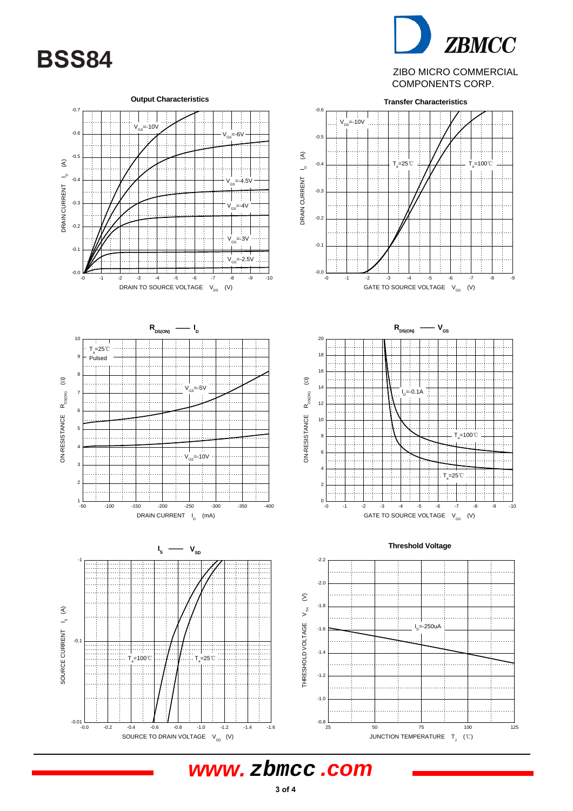



### ZIBO MICRO COMMERCIAL COMPONENTS CORP.



**www. zbmcc .com**